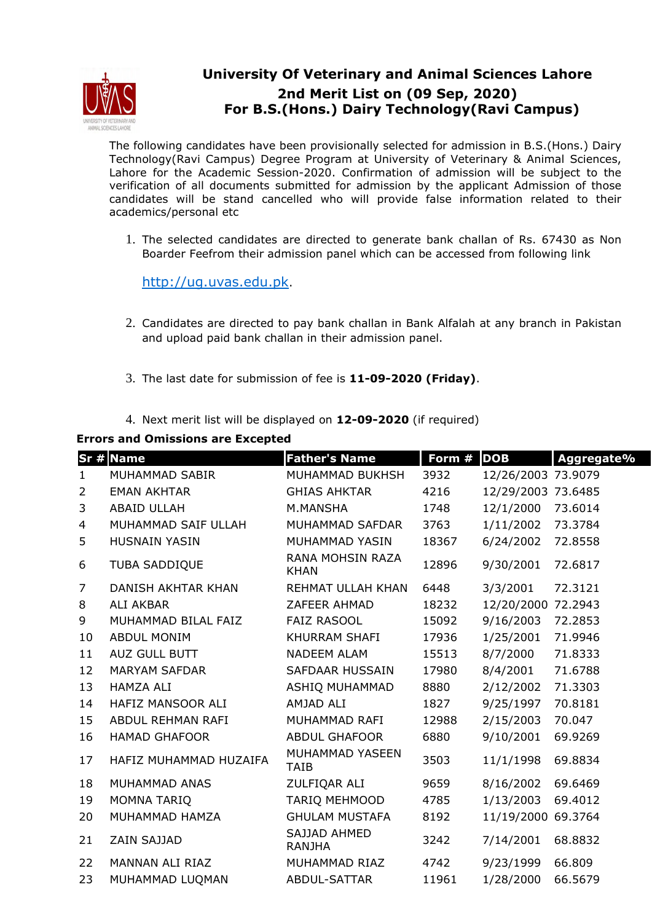

## **University Of Veterinary and Animal Sciences Lahore 2nd Merit List on (09 Sep, 2020) For B.S.(Hons.) Dairy Technology(Ravi Campus)**

The following candidates have been provisionally selected for admission in B.S.(Hons.) Dairy Technology(Ravi Campus) Degree Program at University of Veterinary & Animal Sciences, Lahore for the Academic Session-2020. Confirmation of admission will be subject to the verification of all documents submitted for admission by the applicant Admission of those candidates will be stand cancelled who will provide false information related to their academics/personal etc

1. The selected candidates are directed to generate bank challan of Rs. 67430 as Non Boarder Feefrom their admission panel which can be accessed from following link

http://ug.uvas.edu.pk.

- 2. Candidates are directed to pay bank challan in Bank Alfalah at any branch in Pakistan and upload paid bank challan in their admission panel.
- 3. The last date for submission of fee is **11-09-2020 (Friday)**.
- 4. Next merit list will be displayed on **12-09-2020** (if required)

## **Errors and Omissions are Excepted**

|              | <b>Sr # Name</b>          | <b>Father's Name</b>            | Form # | <b>DOB</b>         | Aggregate% |
|--------------|---------------------------|---------------------------------|--------|--------------------|------------|
| $\mathbf{1}$ | MUHAMMAD SABIR            | <b>MUHAMMAD BUKHSH</b>          | 3932   | 12/26/2003 73.9079 |            |
| 2            | <b>EMAN AKHTAR</b>        | <b>GHIAS AHKTAR</b>             | 4216   | 12/29/2003 73.6485 |            |
| 3            | <b>ABAID ULLAH</b>        | M.MANSHA                        | 1748   | 12/1/2000          | 73.6014    |
| 4            | MUHAMMAD SAIF ULLAH       | MUHAMMAD SAFDAR                 | 3763   | 1/11/2002          | 73.3784    |
| 5            | <b>HUSNAIN YASIN</b>      | MUHAMMAD YASIN                  | 18367  | 6/24/2002          | 72.8558    |
| 6            | <b>TUBA SADDIQUE</b>      | RANA MOHSIN RAZA<br><b>KHAN</b> | 12896  | 9/30/2001          | 72.6817    |
| 7            | <b>DANISH AKHTAR KHAN</b> | REHMAT ULLAH KHAN               | 6448   | 3/3/2001           | 72.3121    |
| 8            | <b>ALI AKBAR</b>          | ZAFEER AHMAD                    | 18232  | 12/20/2000         | 72.2943    |
| 9            | MUHAMMAD BILAL FAIZ       | <b>FAIZ RASOOL</b>              | 15092  | 9/16/2003          | 72.2853    |
| 10           | <b>ABDUL MONIM</b>        | KHURRAM SHAFI                   | 17936  | 1/25/2001          | 71.9946    |
| 11           | AUZ GULL BUTT             | <b>NADEEM ALAM</b>              | 15513  | 8/7/2000           | 71.8333    |
| 12           | <b>MARYAM SAFDAR</b>      | <b>SAFDAAR HUSSAIN</b>          | 17980  | 8/4/2001           | 71.6788    |
| 13           | <b>HAMZA ALI</b>          | ASHIQ MUHAMMAD                  | 8880   | 2/12/2002          | 71.3303    |
| 14           | HAFIZ MANSOOR ALI         | AMJAD ALI                       | 1827   | 9/25/1997          | 70.8181    |
| 15           | ABDUL REHMAN RAFI         | MUHAMMAD RAFI                   | 12988  | 2/15/2003          | 70.047     |
| 16           | <b>HAMAD GHAFOOR</b>      | <b>ABDUL GHAFOOR</b>            | 6880   | 9/10/2001          | 69.9269    |
| 17           | HAFIZ MUHAMMAD HUZAIFA    | MUHAMMAD YASEEN<br><b>TAIB</b>  | 3503   | 11/1/1998          | 69.8834    |
| 18           | MUHAMMAD ANAS             | ZULFIQAR ALI                    | 9659   | 8/16/2002          | 69.6469    |
| 19           | MOMNA TARIQ               | <b>TARIQ MEHMOOD</b>            | 4785   | 1/13/2003          | 69.4012    |
| 20           | MUHAMMAD HAMZA            | <b>GHULAM MUSTAFA</b>           | 8192   | 11/19/2000         | 69.3764    |
| 21           | ZAIN SAJJAD               | SAJJAD AHMED<br><b>RANJHA</b>   | 3242   | 7/14/2001          | 68.8832    |
| 22           | MANNAN ALI RIAZ           | MUHAMMAD RIAZ                   | 4742   | 9/23/1999          | 66.809     |
| 23           | MUHAMMAD LUQMAN           | ABDUL-SATTAR                    | 11961  | 1/28/2000          | 66.5679    |